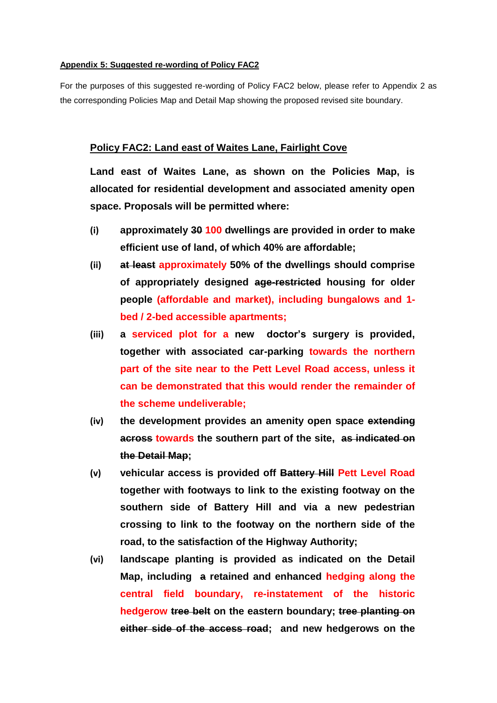## **Appendix 5: Suggested re-wording of Policy FAC2**

For the purposes of this suggested re-wording of Policy FAC2 below, please refer to Appendix 2 as the corresponding Policies Map and Detail Map showing the proposed revised site boundary.

## **Policy FAC2: Land east of Waites Lane, Fairlight Cove**

**Land east of Waites Lane, as shown on the Policies Map, is allocated for residential development and associated amenity open space. Proposals will be permitted where:**

- **(i) approximately 30 100 dwellings are provided in order to make efficient use of land, of which 40% are affordable;**
- **(ii) at least approximately 50% of the dwellings should comprise of appropriately designed age-restricted housing for older people (affordable and market), including bungalows and 1 bed / 2-bed accessible apartments;**
- **(iii) a serviced plot for a new doctor's surgery is provided, together with associated car-parking towards the northern part of the site near to the Pett Level Road access, unless it can be demonstrated that this would render the remainder of the scheme undeliverable;**
- **(iv) the development provides an amenity open space extending across towards the southern part of the site, as indicated on the Detail Map;**
- **(v) vehicular access is provided off Battery Hill Pett Level Road together with footways to link to the existing footway on the southern side of Battery Hill and via a new pedestrian crossing to link to the footway on the northern side of the road, to the satisfaction of the Highway Authority;**
- **(vi) landscape planting is provided as indicated on the Detail Map, including a retained and enhanced hedging along the central field boundary, re-instatement of the historic hedgerow tree belt on the eastern boundary; tree planting on either side of the access road; and new hedgerows on the**